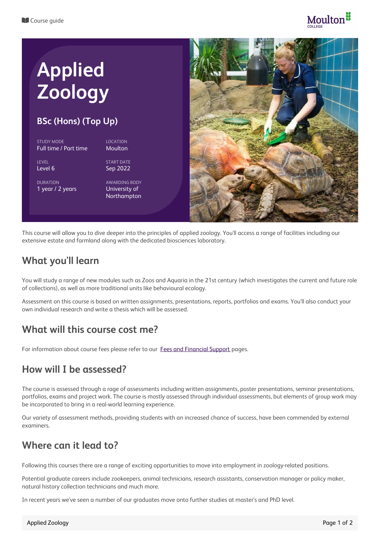

# **Applied Zoology**

#### **BSc (Hons) (Top Up)**

STUDY MODE Full time / Part time

**LEVEL** Level 6

DURATION 1 year / 2 years START DATE Sep 2022

LOCATION Moulton

AWARDING BODY University of Northampton



This course will allow you to dive deeper into the principles of applied zoology. You'll access a range of facilities including our extensive estate and farmland along with the dedicated biosciences laboratory.

## **What you'll learn**

You will study a range of new modules such as Zoos and Aquaria in the 21st century (which investigates the current and future role of collections), as well as more traditional units like behavioural ecology.

Assessment on this course is based on written assignments, presentations, reports, portfolios and exams. You'll also conduct your own individual research and write a thesis which will be assessed.

### **What will this course cost me?**

For information about course fees please refer to our Fees and [Financial](https://www.moulton.ac.uk/about/fees-and-support-students-higher-education) Support pages.

#### **How will I be assessed?**

The course is assessed through a rage of assessments including written assignments, poster presentations, seminar presentations, portfolios, exams and project work. The course is mostly assessed through individual assessments, but elements of group work may be incorporated to bring in a real-world learning experience.

Our variety of assessment methods, providing students with an increased chance of success, have been commended by external examiners.

### **Where can it lead to?**

Following this courses there are a range of exciting opportunities to move into employment in zoology-related positions.

Potential graduate careers include zookeepers, animal technicians, research assistants, conservation manager or policy maker, natural history collection technicians and much more.

In recent years we've seen a number of our graduates move onto further studies at master's and PhD level.